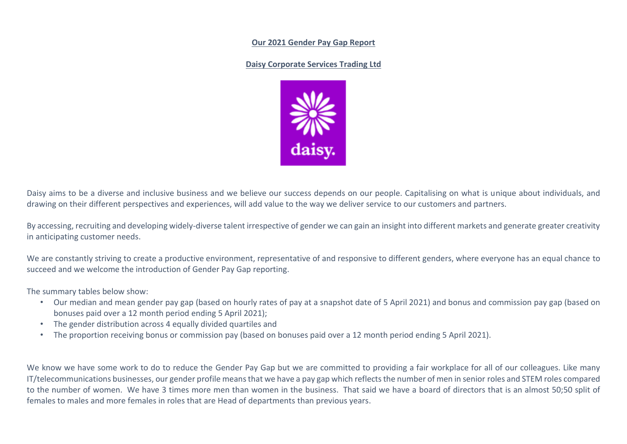#### **Our 2021 Gender Pay Gap Report**

### **Daisy Corporate Services Trading Ltd**



Daisy aims to be a diverse and inclusive business and we believe our success depends on our people. Capitalising on what is unique about individuals, and drawing on their different perspectives and experiences, will add value to the way we deliver service to our customers and partners.

By accessing, recruiting and developing widely-diverse talent irrespective of gender we can gain an insight into different markets and generate greater creativity in anticipating customer needs.

We are constantly striving to create a productive environment, representative of and responsive to different genders, where everyone has an equal chance to succeed and we welcome the introduction of Gender Pay Gap reporting.

The summary tables below show:

- Our median and mean gender pay gap (based on hourly rates of pay at a snapshot date of 5 April 2021) and bonus and commission pay gap (based on bonuses paid over a 12 month period ending 5 April 2021);
- The gender distribution across 4 equally divided quartiles and
- The proportion receiving bonus or commission pay (based on bonuses paid over a 12 month period ending 5 April 2021).

We know we have some work to do to reduce the Gender Pay Gap but we are committed to providing a fair workplace for all of our colleagues. Like many IT/telecommunications businesses, our gender profile means that we have a pay gap which reflects the number of men in senior roles and STEM roles compared to the number of women. We have 3 times more men than women in the business. That said we have a board of directors that is an almost 50;50 split of females to males and more females in roles that are Head of departments than previous years.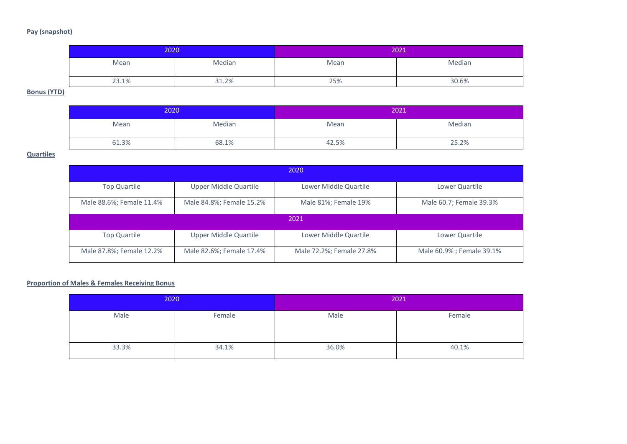# **Pay (snapshot)**

| 2020  |        | 2021 |        |
|-------|--------|------|--------|
| Mean  | Median | Mean | Median |
| 23.1% | 31.2%  | 25%  | 30.6%  |

## **Bonus (YTD)**

| 2020  |        | 2021  |        |
|-------|--------|-------|--------|
| Mean  | Median | Mean  | Median |
| 61.3% | 68.1%  | 42.5% | 25.2%  |

### **Quartiles**

| 2020                     |                              |                          |                           |  |  |  |
|--------------------------|------------------------------|--------------------------|---------------------------|--|--|--|
| <b>Top Quartile</b>      | Upper Middle Quartile        | Lower Middle Quartile    | Lower Quartile            |  |  |  |
| Male 88.6%; Female 11.4% | Male 84.8%; Female 15.2%     | Male 81%; Female 19%     | Male 60.7; Female 39.3%   |  |  |  |
| 2021                     |                              |                          |                           |  |  |  |
| <b>Top Quartile</b>      | <b>Upper Middle Quartile</b> | Lower Middle Quartile    | Lower Quartile            |  |  |  |
| Male 87.8%; Female 12.2% | Male 82.6%; Female 17.4%     | Male 72.2%; Female 27.8% | Male 60.9% ; Female 39.1% |  |  |  |

### **Proportion of Males & Females Receiving Bonus**

| 2020  |        | 2021  |        |
|-------|--------|-------|--------|
| Male  | Female | Male  | Female |
| 33.3% | 34.1%  | 36.0% | 40.1%  |